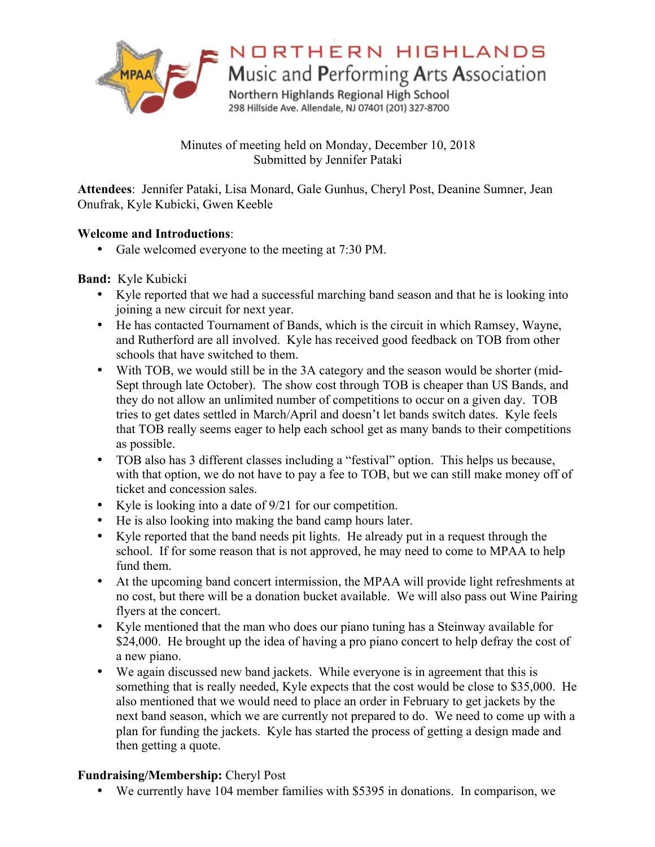

NORTHERN HIGHLANDS

Music and Performing Arts Association

Northern Highlands Regional High School 298 Hillside Ave. Allendale, NJ 07401 (201) 327-8700

Minutes of meeting held on Monday, December 10, 2018 Submitted by Jennifer Pataki

**Attendees**: Jennifer Pataki, Lisa Monard, Gale Gunhus, Cheryl Post, Deanine Sumner, Jean Onufrak, Kyle Kubicki, Gwen Keeble

# **Welcome and Introductions**:

• Gale welcomed everyone to the meeting at 7:30 PM.

# **Band:** Kyle Kubicki

- Kyle reported that we had a successful marching band season and that he is looking into joining a new circuit for next year.
- He has contacted Tournament of Bands, which is the circuit in which Ramsey, Wayne, and Rutherford are all involved. Kyle has received good feedback on TOB from other schools that have switched to them.
- With TOB, we would still be in the 3A category and the season would be shorter (mid-Sept through late October). The show cost through TOB is cheaper than US Bands, and they do not allow an unlimited number of competitions to occur on a given day. TOB tries to get dates settled in March/April and doesn't let bands switch dates. Kyle feels that TOB really seems eager to help each school get as many bands to their competitions as possible.
- TOB also has 3 different classes including a "festival" option. This helps us because, with that option, we do not have to pay a fee to TOB, but we can still make money off of ticket and concession sales.
- Kyle is looking into a date of 9/21 for our competition.
- He is also looking into making the band camp hours later.
- Kyle reported that the band needs pit lights. He already put in a request through the school. If for some reason that is not approved, he may need to come to MPAA to help fund them.
- At the upcoming band concert intermission, the MPAA will provide light refreshments at no cost, but there will be a donation bucket available. We will also pass out Wine Pairing flyers at the concert.
- Kyle mentioned that the man who does our piano tuning has a Steinway available for \$24,000. He brought up the idea of having a pro piano concert to help defray the cost of a new piano.
- We again discussed new band jackets. While everyone is in agreement that this is something that is really needed, Kyle expects that the cost would be close to \$35,000. He also mentioned that we would need to place an order in February to get jackets by the next band season, which we are currently not prepared to do. We need to come up with a plan for funding the jackets. Kyle has started the process of getting a design made and then getting a quote.

# **Fundraising/Membership:** Cheryl Post

• We currently have 104 member families with \$5395 in donations. In comparison, we